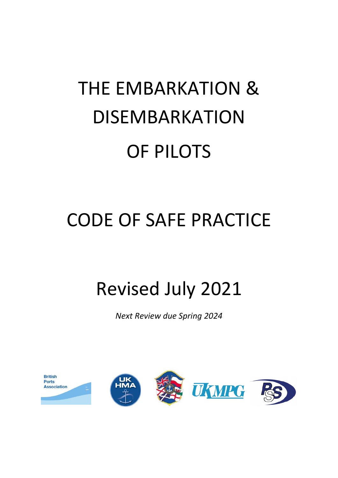# THE EMBARKATION & DISEMBARKATION OF PILOTS

# CODE OF SAFE PRACTICE

# Revised July 2021

*Next Review due Spring 2024*

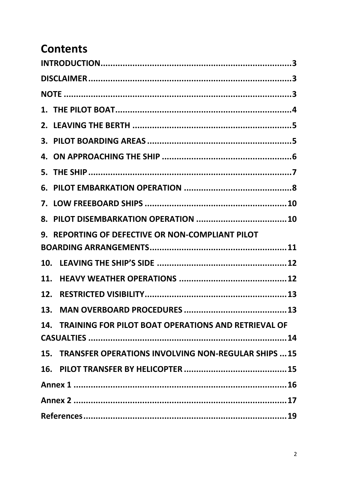## **Contents**

| 9. REPORTING OF DEFECTIVE OR NON-COMPLIANT PILOT        |  |  |
|---------------------------------------------------------|--|--|
|                                                         |  |  |
|                                                         |  |  |
|                                                         |  |  |
|                                                         |  |  |
|                                                         |  |  |
| 14. TRAINING FOR PILOT BOAT OPERATIONS AND RETRIEVAL OF |  |  |
|                                                         |  |  |
| 15. TRANSFER OPERATIONS INVOLVING NON-REGULAR SHIPS  15 |  |  |
|                                                         |  |  |
|                                                         |  |  |
|                                                         |  |  |
|                                                         |  |  |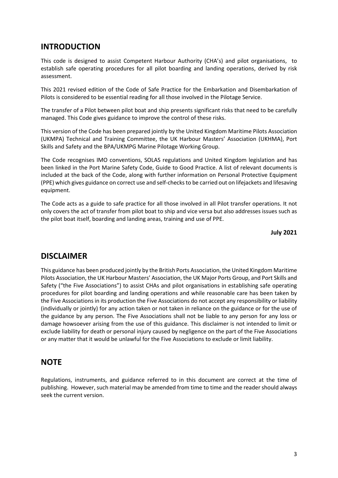#### <span id="page-2-0"></span>**INTRODUCTION**

This code is designed to assist Competent Harbour Authority (CHA's) and pilot organisations, to establish safe operating procedures for all pilot boarding and landing operations, derived by risk assessment.

This 2021 revised edition of the Code of Safe Practice for the Embarkation and Disembarkation of Pilots is considered to be essential reading for all those involved in the Pilotage Service.

The transfer of a Pilot between pilot boat and ship presents significant risks that need to be carefully managed. This Code gives guidance to improve the control of these risks.

This version of the Code has been prepared jointly by the United Kingdom Maritime Pilots Association (UKMPA) Technical and Training Committee, the UK Harbour Masters' Association (UKHMA), Port Skills and Safety and the BPA/UKMPG Marine Pilotage Working Group.

The Code recognises IMO conventions, SOLAS regulations and United Kingdom legislation and has been linked in the Port Marine Safety Code, Guide to Good Practice. A list of relevant documents is included at the back of the Code, along with further information on Personal Protective Equipment (PPE) which gives guidance on correct use and self-checksto be carried out on lifejackets and lifesaving equipment.

The Code acts as a guide to safe practice for all those involved in all Pilot transfer operations. It not only covers the act of transfer from pilot boat to ship and vice versa but also addresses issues such as the pilot boat itself, boarding and landing areas, training and use of PPE.

**July 2021**

#### <span id="page-2-1"></span>**DISCLAIMER**

This guidance has been produced jointly by the British Ports Association, the United Kingdom Maritime Pilots Association, the UK Harbour Masters' Association, the UK Major Ports Group, and Port Skills and Safety ("the Five Associations") to assist CHAs and pilot organisations in establishing safe operating procedures for pilot boarding and landing operations and while reasonable care has been taken by the Five Associations in its production the Five Associations do not accept any responsibility or liability (individually or jointly) for any action taken or not taken in reliance on the guidance or for the use of the guidance by any person. The Five Associations shall not be liable to any person for any loss or damage howsoever arising from the use of this guidance. This disclaimer is not intended to limit or exclude liability for death or personal injury caused by negligence on the part of the Five Associations or any matter that it would be unlawful for the Five Associations to exclude or limit liability.

#### <span id="page-2-2"></span>**NOTE**

Regulations, instruments, and guidance referred to in this document are correct at the time of publishing. However, such material may be amended from time to time and the reader should always seek the current version.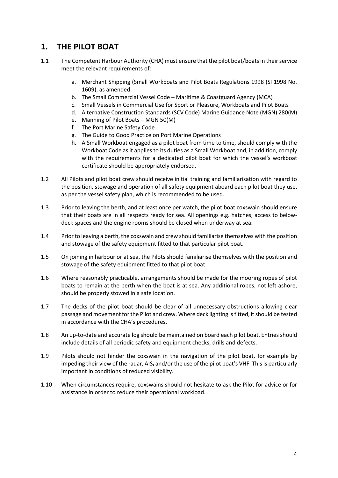#### <span id="page-3-0"></span>**1. THE PILOT BOAT**

- 1.1 The Competent Harbour Authority (CHA) must ensure that the pilot boat/boats in their service meet the relevant requirements of:
	- a. Merchant Shipping (Small Workboats and Pilot Boats Regulations 1998 (SI 1998 No. 1609), as amended
	- b. The Small Commercial Vessel Code Maritime & Coastguard Agency (MCA)
	- c. Small Vessels in Commercial Use for Sport or Pleasure, Workboats and Pilot Boats
	- d. Alternative Construction Standards (SCV Code) Marine Guidance Note (MGN) 280(M)
	- e. Manning of Pilot Boats MGN 50(M)
	- f. The Port Marine Safety Code
	- g. The Guide to Good Practice on Port Marine Operations
	- h. A Small Workboat engaged as a pilot boat from time to time, should comply with the Workboat Code as it applies to its duties as a Small Workboat and, in addition, comply with the requirements for a dedicated pilot boat for which the vessel's workboat certificate should be appropriately endorsed.
- 1.2 All Pilots and pilot boat crew should receive initial training and familiarisation with regard to the position, stowage and operation of all safety equipment aboard each pilot boat they use, as per the vessel safety plan, which is recommended to be used.
- 1.3 Prior to leaving the berth, and at least once per watch, the pilot boat coxswain should ensure that their boats are in all respects ready for sea. All openings e.g. hatches, access to belowdeck spaces and the engine rooms should be closed when underway at sea.
- 1.4 Prior to leaving a berth, the coxswain and crew should familiarise themselves with the position and stowage of the safety equipment fitted to that particular pilot boat.
- 1.5 On joining in harbour or at sea, the Pilots should familiarise themselves with the position and stowage of the safety equipment fitted to that pilot boat.
- 1.6 Where reasonably practicable, arrangements should be made for the mooring ropes of pilot boats to remain at the berth when the boat is at sea. Any additional ropes, not left ashore, should be properly stowed in a safe location.
- 1.7 The decks of the pilot boat should be clear of all unnecessary obstructions allowing clear passage and movement for the Pilot and crew. Where deck lighting is fitted, it should be tested in accordance with the CHA's procedures.
- 1.8 An up-to-date and accurate log should be maintained on board each pilot boat. Entries should include details of all periodic safety and equipment checks, drills and defects.
- 1.9 Pilots should not hinder the coxswain in the navigation of the pilot boat, for example by impeding their view of the radar, AIS<sub>7</sub> and/or the use of the pilot boat's VHF. This is particularly important in conditions of reduced visibility.
- 1.10 When circumstances require, coxswains should not hesitate to ask the Pilot for advice or for assistance in order to reduce their operational workload.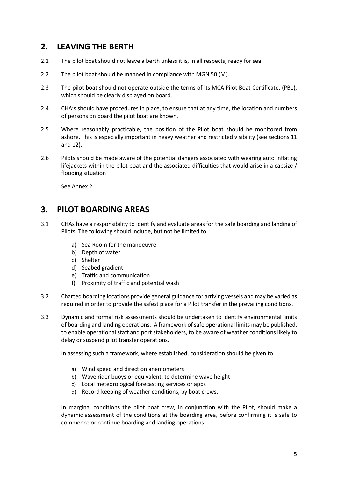#### <span id="page-4-0"></span>**2. LEAVING THE BERTH**

- 2.1 The pilot boat should not leave a berth unless it is, in all respects, ready for sea.
- 2.2 The pilot boat should be manned in compliance with MGN 50 (M).
- 2.3 The pilot boat should not operate outside the terms of its MCA Pilot Boat Certificate, (PB1), which should be clearly displayed on board.
- 2.4 CHA's should have procedures in place, to ensure that at any time, the location and numbers of persons on board the pilot boat are known.
- 2.5 Where reasonably practicable, the position of the Pilot boat should be monitored from ashore. This is especially important in heavy weather and restricted visibility (see sections 11 and 12).
- 2.6 Pilots should be made aware of the potential dangers associated with wearing auto inflating lifejackets within the pilot boat and the associated difficulties that would arise in a capsize / flooding situation

See Annex 2.

#### <span id="page-4-1"></span>**3. PILOT BOARDING AREAS**

- 3.1 CHAs have a responsibility to identify and evaluate areas for the safe boarding and landing of Pilots. The following should include, but not be limited to:
	- a) Sea Room for the manoeuvre
	- b) Depth of water
	- c) Shelter
	- d) Seabed gradient
	- e) Traffic and communication
	- f) Proximity of traffic and potential wash
- 3.2 Charted boarding locations provide general guidance for arriving vessels and may be varied as required in order to provide the safest place for a Pilot transfer in the prevailing conditions.
- 3.3 Dynamic and formal risk assessments should be undertaken to identify environmental limits of boarding and landing operations. A framework of safe operational limits may be published, to enable operational staff and port stakeholders, to be aware of weather conditions likely to delay or suspend pilot transfer operations.

In assessing such a framework, where established, consideration should be given to

- a) Wind speed and direction anemometers
- b) Wave rider buoys or equivalent, to determine wave height
- c) Local meteorological forecasting services or apps
- d) Record keeping of weather conditions, by boat crews.

In marginal conditions the pilot boat crew, in conjunction with the Pilot, should make a dynamic assessment of the conditions at the boarding area, before confirming it is safe to commence or continue boarding and landing operations.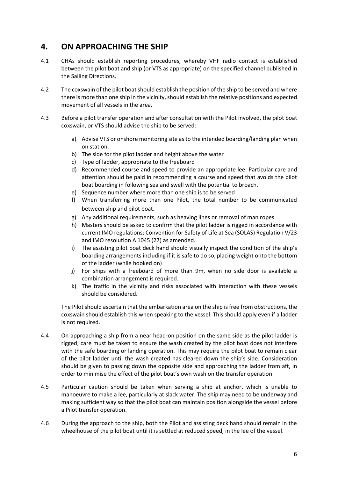#### <span id="page-5-0"></span>**4. ON APPROACHING THE SHIP**

- 4.1 CHAs should establish reporting procedures, whereby VHF radio contact is established between the pilot boat and ship (or VTS as appropriate) on the specified channel published in the Sailing Directions.
- 4.2 The coxswain of the pilot boat should establish the position of the ship to be served and where there is more than one ship in the vicinity, should establish the relative positions and expected movement of all vessels in the area.
- 4.3 Before a pilot transfer operation and after consultation with the Pilot involved, the pilot boat coxswain, or VTS should advise the ship to be served:
	- a) Advise VTS or onshore monitoring site as to the intended boarding/landing plan when on station.
	- b) The side for the pilot ladder and height above the water
	- c) Type of ladder, appropriate to the freeboard
	- d) Recommended course and speed to provide an appropriate lee. Particular care and attention should be paid in recommending a course and speed that avoids the pilot boat boarding in following sea and swell with the potential to broach.
	- e) Sequence number where more than one ship is to be served
	- f) When transferring more than one Pilot, the total number to be communicated between ship and pilot boat.
	- g) Any additional requirements, such as heaving lines or removal of man ropes
	- h) Masters should be asked to confirm that the pilot ladder is rigged in accordance with current IMO regulations; Convention for Safety of Life at Sea (SOLAS) Regulation V/23 and IMO resolution A 1045 (27) as amended.
	- i) The assisting pilot boat deck hand should visually inspect the condition of the ship's boarding arrangements including if it is safe to do so, placing weight onto the bottom of the ladder (while hooked on)
	- j) For ships with a freeboard of more than 9m, when no side door is available a combination arrangement is required.
	- k) The traffic in the vicinity and risks associated with interaction with these vessels should be considered.

The Pilot should ascertain that the embarkation area on the ship is free from obstructions, the coxswain should establish this when speaking to the vessel. This should apply even if a ladder is not required.

- 4.4 On approaching a ship from a near head-on position on the same side as the pilot ladder is rigged, care must be taken to ensure the wash created by the pilot boat does not interfere with the safe boarding or landing operation. This may require the pilot boat to remain clear of the pilot ladder until the wash created has cleared down the ship's side. Consideration should be given to passing down the opposite side and approaching the ladder from aft, in order to minimise the effect of the pilot boat's own wash on the transfer operation.
- 4.5 Particular caution should be taken when serving a ship at anchor, which is unable to manoeuvre to make a lee, particularly at slack water. The ship may need to be underway and making sufficient way so that the pilot boat can maintain position alongside the vessel before a Pilot transfer operation.
- 4.6 During the approach to the ship, both the Pilot and assisting deck hand should remain in the wheelhouse of the pilot boat until it is settled at reduced speed, in the lee of the vessel.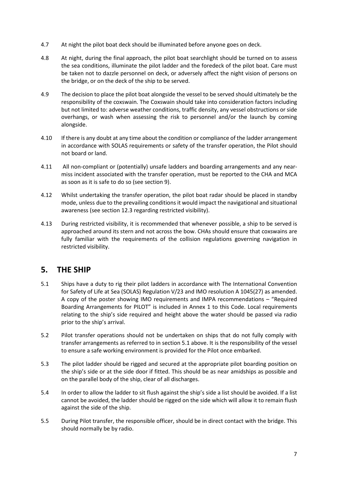- 4.7 At night the pilot boat deck should be illuminated before anyone goes on deck.
- 4.8 At night, during the final approach, the pilot boat searchlight should be turned on to assess the sea conditions, illuminate the pilot ladder and the foredeck of the pilot boat. Care must be taken not to dazzle personnel on deck, or adversely affect the night vision of persons on the bridge, or on the deck of the ship to be served.
- 4.9 The decision to place the pilot boat alongside the vessel to be served should ultimately be the responsibility of the coxswain. The Coxswain should take into consideration factors including but not limited to: adverse weather conditions, traffic density, any vessel obstructions or side overhangs, or wash when assessing the risk to personnel and/or the launch by coming alongside.
- 4.10 If there is any doubt at any time about the condition or compliance of the ladder arrangement in accordance with SOLAS requirements or safety of the transfer operation, the Pilot should not board or land.
- 4.11 All non-compliant or (potentially) unsafe ladders and boarding arrangements and any nearmiss incident associated with the transfer operation, must be reported to the CHA and MCA as soon as it is safe to do so (see section 9).
- 4.12 Whilst undertaking the transfer operation, the pilot boat radar should be placed in standby mode, unless due to the prevailing conditions it would impact the navigational and situational awareness (see section 12.3 regarding restricted visibility).
- 4.13 During restricted visibility, it is recommended that whenever possible, a ship to be served is approached around its stern and not across the bow. CHAs should ensure that coxswains are fully familiar with the requirements of the collision regulations governing navigation in restricted visibility.

#### <span id="page-6-0"></span>**5. THE SHIP**

- 5.1 Ships have a duty to rig their pilot ladders in accordance with The International Convention for Safety of Life at Sea (SOLAS) Regulation V/23 and IMO resolution A 1045(27) as amended. A copy of the poster showing IMO requirements and IMPA recommendations – "Required Boarding Arrangements for PILOT" is included in Annex 1 to this Code. Local requirements relating to the ship's side required and height above the water should be passed via radio prior to the ship's arrival.
- 5.2 Pilot transfer operations should not be undertaken on ships that do not fully comply with transfer arrangements as referred to in section 5.1 above. It is the responsibility of the vessel to ensure a safe working environment is provided for the Pilot once embarked.
- 5.3 The pilot ladder should be rigged and secured at the appropriate pilot boarding position on the ship's side or at the side door if fitted. This should be as near amidships as possible and on the parallel body of the ship, clear of all discharges.
- 5.4 In order to allow the ladder to sit flush against the ship's side a list should be avoided. If a list cannot be avoided, the ladder should be rigged on the side which will allow it to remain flush against the side of the ship.
- 5.5 During Pilot transfer, the responsible officer, should be in direct contact with the bridge. This should normally be by radio.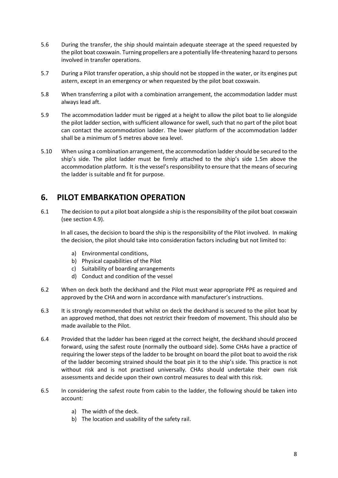- 5.6 During the transfer, the ship should maintain adequate steerage at the speed requested by the pilot boat coxswain. Turning propellers are a potentially life-threatening hazard to persons involved in transfer operations.
- 5.7 During a Pilot transfer operation, a ship should not be stopped in the water, or its engines put astern, except in an emergency or when requested by the pilot boat coxswain.
- 5.8 When transferring a pilot with a combination arrangement, the accommodation ladder must always lead aft.
- 5.9 The accommodation ladder must be rigged at a height to allow the pilot boat to lie alongside the pilot ladder section, with sufficient allowance for swell, such that no part of the pilot boat can contact the accommodation ladder. The lower platform of the accommodation ladder shall be a minimum of 5 metres above sea level.
- 5.10 When using a combination arrangement, the accommodation ladder should be secured to the ship's side. The pilot ladder must be firmly attached to the ship's side 1.5m above the accommodation platform. It is the vessel's responsibility to ensure that the means of securing the ladder is suitable and fit for purpose.

#### <span id="page-7-0"></span>**6. PILOT EMBARKATION OPERATION**

6.1 The decision to put a pilot boat alongside a ship is the responsibility of the pilot boat coxswain (see section 4.9).

 In all cases, the decision to board the ship is the responsibility of the Pilot involved. In making the decision, the pilot should take into consideration factors including but not limited to:

- a) Environmental conditions,
- b) Physical capabilities of the Pilot
- c) Suitability of boarding arrangements
- d) Conduct and condition of the vessel
- 6.2 When on deck both the deckhand and the Pilot must wear appropriate PPE as required and approved by the CHA and worn in accordance with manufacturer's instructions.
- 6.3 It is strongly recommended that whilst on deck the deckhand is secured to the pilot boat by an approved method, that does not restrict their freedom of movement. This should also be made available to the Pilot.
- 6.4 Provided that the ladder has been rigged at the correct height, the deckhand should proceed forward, using the safest route (normally the outboard side). Some CHAs have a practice of requiring the lower steps of the ladder to be brought on board the pilot boat to avoid the risk of the ladder becoming strained should the boat pin it to the ship's side. This practice is not without risk and is not practised universally. CHAs should undertake their own risk assessments and decide upon their own control measures to deal with this risk.
- 6.5 In considering the safest route from cabin to the ladder, the following should be taken into account:
	- a) The width of the deck.
	- b) The location and usability of the safety rail.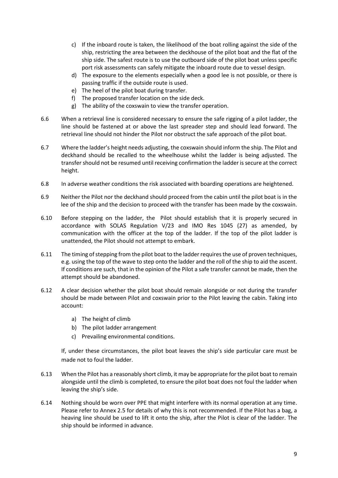- c) If the inboard route is taken, the likelihood of the boat rolling against the side of the ship, restricting the area between the deckhouse of the pilot boat and the flat of the ship side. The safest route is to use the outboard side of the pilot boat unless specific port risk assessments can safely mitigate the inboard route due to vessel design.
- d) The exposure to the elements especially when a good lee is not possible, or there is passing traffic if the outside route is used.
- e) The heel of the pilot boat during transfer.
- f) The proposed transfer location on the side deck.
- g) The ability of the coxswain to view the transfer operation.
- 6.6 When a retrieval line is considered necessary to ensure the safe rigging of a pilot ladder, the line should be fastened at or above the last spreader step and should lead forward. The retrieval line should not hinder the Pilot nor obstruct the safe approach of the pilot boat.
- 6.7 Where the ladder's height needs adjusting, the coxswain should inform the ship. The Pilot and deckhand should be recalled to the wheelhouse whilst the ladder is being adjusted. The transfer should not be resumed until receiving confirmation the ladder is secure at the correct height.
- 6.8 In adverse weather conditions the risk associated with boarding operations are heightened.
- 6.9 Neither the Pilot nor the deckhand should proceed from the cabin until the pilot boat is in the lee of the ship and the decision to proceed with the transfer has been made by the coxswain.
- 6.10 Before stepping on the ladder, the Pilot should establish that it is properly secured in accordance with SOLAS Regulation V/23 and IMO Res 1045 (27) as amended, by communication with the officer at the top of the ladder. If the top of the pilot ladder is unattended, the Pilot should not attempt to embark.
- 6.11 The timing of stepping from the pilot boat to the ladder requires the use of proven techniques, e.g. using the top of the wave to step onto the ladder and the roll of the ship to aid the ascent. If conditions are such, that in the opinion of the Pilot a safe transfer cannot be made, then the attempt should be abandoned.
- 6.12 A clear decision whether the pilot boat should remain alongside or not during the transfer should be made between Pilot and coxswain prior to the Pilot leaving the cabin. Taking into account:
	- a) The height of climb
	- b) The pilot ladder arrangement
	- c) Prevailing environmental conditions.

If, under these circumstances, the pilot boat leaves the ship's side particular care must be made not to foul the ladder.

- 6.13 When the Pilot has a reasonably short climb, it may be appropriate for the pilot boat to remain alongside until the climb is completed, to ensure the pilot boat does not foul the ladder when leaving the ship's side.
- 6.14 Nothing should be worn over PPE that might interfere with its normal operation at any time. Please refer to Annex 2.5 for details of why this is not recommended. If the Pilot has a bag, a heaving line should be used to lift it onto the ship, after the Pilot is clear of the ladder. The ship should be informed in advance.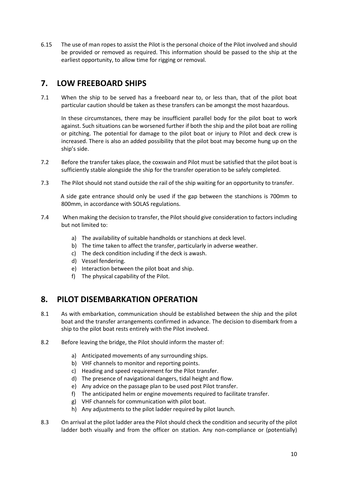6.15 The use of man ropes to assist the Pilot is the personal choice of the Pilot involved and should be provided or removed as required. This information should be passed to the ship at the earliest opportunity, to allow time for rigging or removal.

#### <span id="page-9-0"></span>**7. LOW FREEBOARD SHIPS**

7.1 When the ship to be served has a freeboard near to, or less than, that of the pilot boat particular caution should be taken as these transfers can be amongst the most hazardous.

In these circumstances, there may be insufficient parallel body for the pilot boat to work against. Such situations can be worsened further if both the ship and the pilot boat are rolling or pitching. The potential for damage to the pilot boat or injury to Pilot and deck crew is increased. There is also an added possibility that the pilot boat may become hung up on the ship's side.

- 7.2 Before the transfer takes place, the coxswain and Pilot must be satisfied that the pilot boat is sufficiently stable alongside the ship for the transfer operation to be safely completed.
- 7.3 The Pilot should not stand outside the rail of the ship waiting for an opportunity to transfer.

 A side gate entrance should only be used if the gap between the stanchions is 700mm to 800mm, in accordance with SOLAS regulations.

- 7.4 When making the decision to transfer, the Pilot should give consideration to factors including but not limited to:
	- a) The availability of suitable handholds or stanchions at deck level.
	- b) The time taken to affect the transfer, particularly in adverse weather.
	- c) The deck condition including if the deck is awash.
	- d) Vessel fendering.
	- e) Interaction between the pilot boat and ship.
	- f) The physical capability of the Pilot.

#### <span id="page-9-1"></span>**8. PILOT DISEMBARKATION OPERATION**

- 8.1 As with embarkation, communication should be established between the ship and the pilot boat and the transfer arrangements confirmed in advance. The decision to disembark from a ship to the pilot boat rests entirely with the Pilot involved.
- 8.2 Before leaving the bridge, the Pilot should inform the master of:
	- a) Anticipated movements of any surrounding ships.
	- b) VHF channels to monitor and reporting points.
	- c) Heading and speed requirement for the Pilot transfer.
	- d) The presence of navigational dangers, tidal height and flow.
	- e) Any advice on the passage plan to be used post Pilot transfer.
	- f) The anticipated helm or engine movements required to facilitate transfer.
	- g) VHF channels for communication with pilot boat.
	- h) Any adjustments to the pilot ladder required by pilot launch.
- 8.3 On arrival at the pilot ladder area the Pilot should check the condition and security of the pilot ladder both visually and from the officer on station. Any non-compliance or (potentially)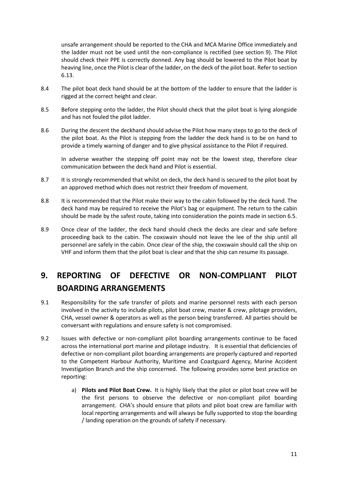unsafe arrangement should be reported to the CHA and MCA Marine Office immediately and the ladder must not be used until the non-compliance is rectified (see section 9). The Pilot should check their PPE is correctly donned. Any bag should be lowered to the Pilot boat by heaving line, once the Pilot is clear of the ladder, on the deck of the pilot boat. Refer to section 6.13.

- 8.4 The pilot boat deck hand should be at the bottom of the ladder to ensure that the ladder is rigged at the correct height and clear.
- 8.5 Before stepping onto the ladder, the Pilot should check that the pilot boat is lying alongside and has not fouled the pilot ladder.
- 8.6 During the descent the deckhand should advise the Pilot how many steps to go to the deck of the pilot boat. As the Pilot is stepping from the ladder the deck hand is to be on hand to provide a timely warning of danger and to give physical assistance to the Pilot if required.

In adverse weather the stepping off point may not be the lowest step, therefore clear communication between the deck hand and Pilot is essential.

- 8.7 It is strongly recommended that whilst on deck, the deck hand is secured to the pilot boat by an approved method which does not restrict their freedom of movement.
- 8.8 It is recommended that the Pilot make their way to the cabin followed by the deck hand. The deck hand may be required to receive the Pilot's bag or equipment. The return to the cabin should be made by the safest route, taking into consideration the points made in section 6.5.
- 8.9 Once clear of the ladder, the deck hand should check the decks are clear and safe before proceeding back to the cabin. The coxswain should not leave the lee of the ship until all personnel are safely in the cabin. Once clear of the ship, the coxswain should call the ship on VHF and inform them that the pilot boat is clear and that the ship can resume its passage.

### <span id="page-10-0"></span>**9. REPORTING OF DEFECTIVE OR NON-COMPLIANT PILOT BOARDING ARRANGEMENTS**

- 9.1 Responsibility for the safe transfer of pilots and marine personnel rests with each person involved in the activity to include pilots, pilot boat crew, master & crew, pilotage providers, CHA, vessel owner & operators as well as the person being transferred. All parties should be conversant with regulations and ensure safety is not compromised.
- 9.2 Issues with defective or non-compliant pilot boarding arrangements continue to be faced across the international port marine and pilotage industry. It is essential that deficiencies of defective or non-compliant pilot boarding arrangements are properly captured and reported to the Competent Harbour Authority, Maritime and Coastguard Agency, Marine Accident Investigation Branch and the ship concerned. The following provides some best practice on reporting:
	- a) **Pilots and Pilot Boat Crew.** It is highly likely that the pilot or pilot boat crew will be the first persons to observe the defective or non-compliant pilot boarding arrangement. CHA's should ensure that pilots and pilot boat crew are familiar with local reporting arrangements and will always be fully supported to stop the boarding / landing operation on the grounds of safety if necessary.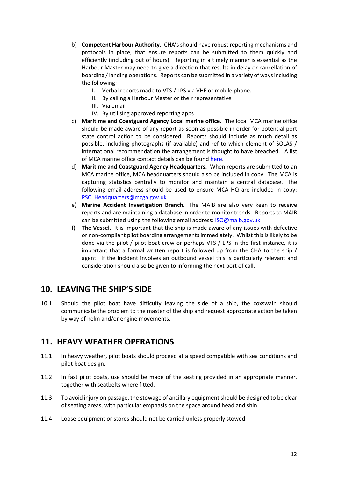- b) **Competent Harbour Authority.** CHA's should have robust reporting mechanisms and protocols in place, that ensure reports can be submitted to them quickly and efficiently (including out of hours). Reporting in a timely manner is essential as the Harbour Master may need to give a direction that results in delay or cancellation of boarding / landing operations. Reports can be submitted in a variety of ways including the following:
	- I. Verbal reports made to VTS / LPS via VHF or mobile phone.
	- II. By calling a Harbour Master or their representative
	- III. Via email
	- IV. By utilising approved reporting apps
- c) **Maritime and Coastguard Agency Local marine office.** The local MCA marine office should be made aware of any report as soon as possible in order for potential port state control action to be considered. Reports should include as much detail as possible, including photographs (if available) and ref to which element of SOLAS / international recommendation the arrangement is thought to have breached. A list of MCA marine office contact details can be foun[d here.](https://www.gov.uk/government/publications/locations-of-mca-marine-offices)
- d) **Maritime and Coastguard Agency Headquarters.** When reports are submitted to an MCA marine office, MCA headquarters should also be included in copy. The MCA is capturing statistics centrally to monitor and maintain a central database. The following email address should be used to ensure MCA HQ are included in copy: [PSC\\_Headquarters@mcga.gov.uk](mailto:PSC_Headquarters@mcga.gov.uk)
- e) **Marine Accident Investigation Branch.** The MAIB are also very keen to receive reports and are maintaining a database in order to monitor trends. Reports to MAIB can be submitted using the following email address: **ISO@maib.gov.uk**
- f) **The Vessel**. It is important that the ship is made aware of any issues with defective or non-compliant pilot boarding arrangements immediately. Whilst this is likely to be done via the pilot / pilot boat crew or perhaps VTS / LPS in the first instance, it is important that a formal written report is followed up from the CHA to the ship / agent. If the incident involves an outbound vessel this is particularly relevant and consideration should also be given to informing the next port of call.

#### <span id="page-11-0"></span>**10. LEAVING THE SHIP'S SIDE**

10.1 Should the pilot boat have difficulty leaving the side of a ship, the coxswain should communicate the problem to the master of the ship and request appropriate action be taken by way of helm and/or engine movements.

#### <span id="page-11-1"></span>**11. HEAVY WEATHER OPERATIONS**

- 11.1 In heavy weather, pilot boats should proceed at a speed compatible with sea conditions and pilot boat design.
- 11.2 In fast pilot boats, use should be made of the seating provided in an appropriate manner, together with seatbelts where fitted.
- 11.3 To avoid injury on passage, the stowage of ancillary equipment should be designed to be clear of seating areas, with particular emphasis on the space around head and shin.
- 11.4 Loose equipment or stores should not be carried unless properly stowed.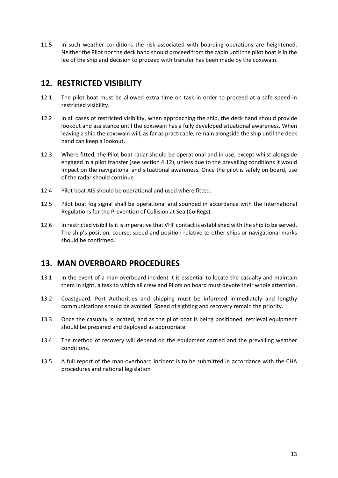11.5 In such weather conditions the risk associated with boarding operations are heightened. Neither the Pilot nor the deck hand should proceed from the cabin until the pilot boat is in the lee of the ship and decision to proceed with transfer has been made by the coxswain.

#### <span id="page-12-0"></span>**12. RESTRICTED VISIBILITY**

- 12.1 The pilot boat must be allowed extra time on task in order to proceed at a safe speed in restricted visibility.
- 12.2 In all cases of restricted visibility, when approaching the ship, the deck hand should provide lookout and assistance until the coxswain has a fully developed situational awareness. When leaving a ship the coxswain will, as far as practicable, remain alongside the ship until the deck hand can keep a lookout.
- 12.3 Where fitted, the Pilot boat radar should be operational and in use, except whilst alongside engaged in a pilot transfer (see section 4.12), unless due to the prevailing conditions it would impact on the navigational and situational awareness. Once the pilot is safely on board, use of the radar should continue.
- 12.4 Pilot boat AIS should be operational and used where fitted.
- 12.5 Pilot boat fog signal shall be operational and sounded in accordance with the International Regulations for the Prevention of Collision at Sea (ColRegs).
- 12.6 In restricted visibility it is imperative that VHF contact is established with the ship to be served. The ship's position, course, speed and position relative to other ships or navigational marks should be confirmed.

#### <span id="page-12-1"></span>**13. MAN OVERBOARD PROCEDURES**

- 13.1 In the event of a man-overboard incident it is essential to locate the casualty and maintain them in sight, a task to which all crew and Pilots on board must devote their whole attention.
- 13.2 Coastguard, Port Authorities and shipping must be informed immediately and lengthy communications should be avoided. Speed of sighting and recovery remain the priority.
- 13.3 Once the casualty is located, and as the pilot boat is being positioned, retrieval equipment should be prepared and deployed as appropriate.
- 13.4 The method of recovery will depend on the equipment carried and the prevailing weather conditions.
- 13.5 A full report of the man-overboard incident is to be submitted in accordance with the CHA procedures and national legislation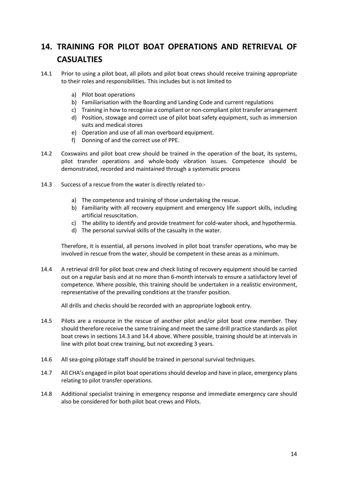### <span id="page-13-0"></span>**14. TRAINING FOR PILOT BOAT OPERATIONS AND RETRIEVAL OF CASUALTIES**

- 14.1 Prior to using a pilot boat, all pilots and pilot boat crews should receive training appropriate to their roles and responsibilities. This includes but is not limited to
	- a) Pilot boat operations
	- b) Familiarisation with the Boarding and Landing Code and current regulations
	- c) Training in how to recognise a compliant or non-compliant pilot transfer arrangement
	- d) Position, stowage and correct use of pilot boat safety equipment, such as immersion suits and medical stores
	- e) Operation and use of all man overboard equipment.
	- f) Donning of and the correct use of PPE.
- 14.2 Coxswains and pilot boat crew should be trained in the operation of the boat, its systems, pilot transfer operations and whole-body vibration issues. Competence should be demonstrated, recorded and maintained through a systematic process
- 14.3 Success of a rescue from the water is directly related to:
	- a) The competence and training of those undertaking the rescue.
	- b) Familiarity with all recovery equipment and emergency life support skills, including artificial resuscitation.
	- c) The ability to identify and provide treatment for cold-water shock, and hypothermia.
	- d) The personal survival skills of the casualty in the water.

Therefore, it is essential, all persons involved in pilot boat transfer operations, who may be involved in rescue from the water, should be competent in these areas as a minimum.

14.4 A retrieval drill for pilot boat crew and check listing of recovery equipment should be carried out on a regular basis and at no more than 6-month intervals to ensure a satisfactory level of competence. Where possible, this training should be undertaken in a realistic environment, representative of the prevailing conditions at the transfer position.

All drills and checks should be recorded with an appropriate logbook entry.

- 14.5 Pilots are a resource in the rescue of another pilot and/or pilot boat crew member. They should therefore receive the same training and meet the same drill practice standards as pilot boat crews in sections 14.3 and 14.4 above. Where possible, training should be at intervals in line with pilot boat crew training, but not exceeding 3 years.
- 14.6 All sea-going pilotage staff should be trained in personal survival techniques.
- 14.7 All CHA's engaged in pilot boat operations should develop and have in place, emergency plans relating to pilot transfer operations.
- 14.8 Additional specialist training in emergency response and immediate emergency care should also be considered for both pilot boat crews and Pilots.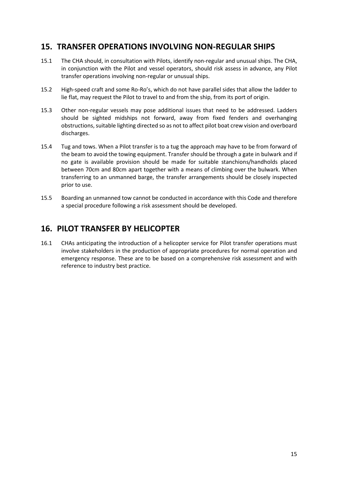#### <span id="page-14-0"></span>**15. TRANSFER OPERATIONS INVOLVING NON-REGULAR SHIPS**

- 15.1 The CHA should, in consultation with Pilots, identify non-regular and unusual ships. The CHA, in conjunction with the Pilot and vessel operators, should risk assess in advance, any Pilot transfer operations involving non-regular or unusual ships.
- 15.2 High-speed craft and some Ro-Ro's, which do not have parallel sides that allow the ladder to lie flat, may request the Pilot to travel to and from the ship, from its port of origin.
- 15.3 Other non-regular vessels may pose additional issues that need to be addressed. Ladders should be sighted midships not forward, away from fixed fenders and overhanging obstructions, suitable lighting directed so as not to affect pilot boat crew vision and overboard discharges.
- 15.4 Tug and tows. When a Pilot transfer is to a tug the approach may have to be from forward of the beam to avoid the towing equipment. Transfer should be through a gate in bulwark and if no gate is available provision should be made for suitable stanchions/handholds placed between 70cm and 80cm apart together with a means of climbing over the bulwark. When transferring to an unmanned barge, the transfer arrangements should be closely inspected prior to use.
- 15.5 Boarding an unmanned tow cannot be conducted in accordance with this Code and therefore a special procedure following a risk assessment should be developed.

#### <span id="page-14-1"></span>**16. PILOT TRANSFER BY HELICOPTER**

16.1 CHAs anticipating the introduction of a helicopter service for Pilot transfer operations must involve stakeholders in the production of appropriate procedures for normal operation and emergency response. These are to be based on a comprehensive risk assessment and with reference to industry best practice.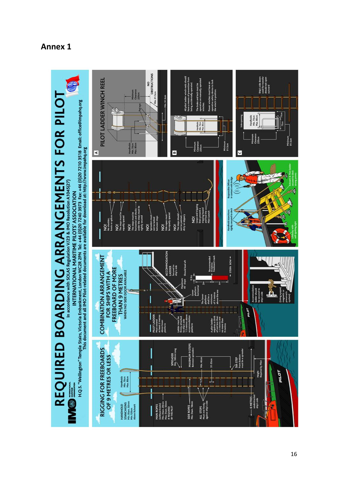

#### <span id="page-15-0"></span>**Annex 1**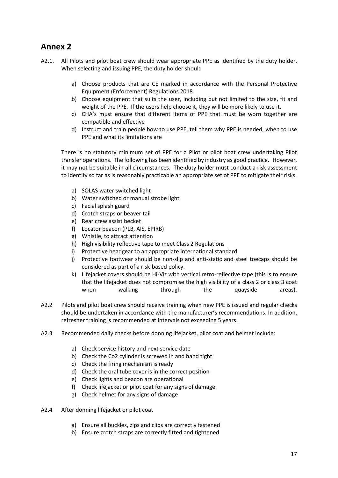#### <span id="page-16-0"></span>**Annex 2**

- A2.1. All Pilots and pilot boat crew should wear appropriate PPE as identified by the duty holder. When selecting and issuing PPE, the duty holder should
	- a) Choose products that are CE marked in accordance with the Personal Protective Equipment (Enforcement) Regulations 2018
	- b) Choose equipment that suits the user, including but not limited to the size, fit and weight of the PPE. If the users help choose it, they will be more likely to use it.
	- c) CHA's must ensure that different items of PPE that must be worn together are compatible and effective
	- d) Instruct and train people how to use PPE, tell them why PPE is needed, when to use PPE and what its limitations are

There is no statutory minimum set of PPE for a Pilot or pilot boat crew undertaking Pilot transfer operations. The following has been identified by industry as good practice. However, it may not be suitable in all circumstances. The duty holder must conduct a risk assessment to identify so far as is reasonably practicable an appropriate set of PPE to mitigate their risks.

- a) SOLAS water switched light
- b) Water switched or manual strobe light
- c) Facial splash guard
- d) Crotch straps or beaver tail
- e) Rear crew assist becket
- f) Locator beacon (PLB, AIS, EPIRB)
- g) Whistle, to attract attention
- h) High visibility reflective tape to meet Class 2 Regulations
- i) Protective headgear to an appropriate international standard
- j) Protective footwear should be non-slip and anti-static and steel toecaps should be considered as part of a risk-based policy.
- k) Lifejacket covers should be Hi-Viz with vertical retro-reflective tape (this is to ensure that the lifejacket does not compromise the high visibility of a class 2 or class 3 coat when walking through the quayside areas).
- A2.2 Pilots and pilot boat crew should receive training when new PPE is issued and regular checks should be undertaken in accordance with the manufacturer's recommendations. In addition, refresher training is recommended at intervals not exceeding 5 years.
- A2.3 Recommended daily checks before donning lifejacket, pilot coat and helmet include:
	- a) Check service history and next service date
	- b) Check the Co2 cylinder is screwed in and hand tight
	- c) Check the firing mechanism is ready
	- d) Check the oral tube cover is in the correct position
	- e) Check lights and beacon are operational
	- f) Check lifejacket or pilot coat for any signs of damage
	- g) Check helmet for any signs of damage
- A2.4 After donning lifejacket or pilot coat
	- a) Ensure all buckles, zips and clips are correctly fastened
	- b) Ensure crotch straps are correctly fitted and tightened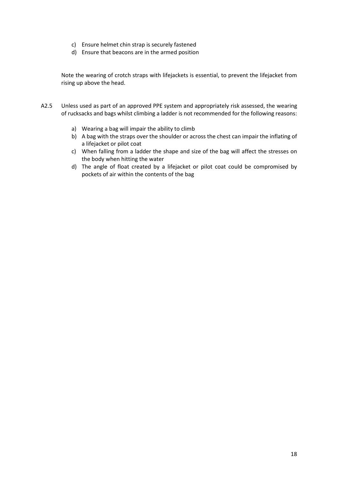- c) Ensure helmet chin strap is securely fastened
- d) Ensure that beacons are in the armed position

Note the wearing of crotch straps with lifejackets is essential, to prevent the lifejacket from rising up above the head.

- A2.5 Unless used as part of an approved PPE system and appropriately risk assessed, the wearing of rucksacks and bags whilst climbing a ladder is not recommended for the following reasons:
	- a) Wearing a bag will impair the ability to climb
	- b) A bag with the straps over the shoulder or across the chest can impair the inflating of a lifejacket or pilot coat
	- c) When falling from a ladder the shape and size of the bag will affect the stresses on the body when hitting the water
	- d) The angle of float created by a lifejacket or pilot coat could be compromised by pockets of air within the contents of the bag